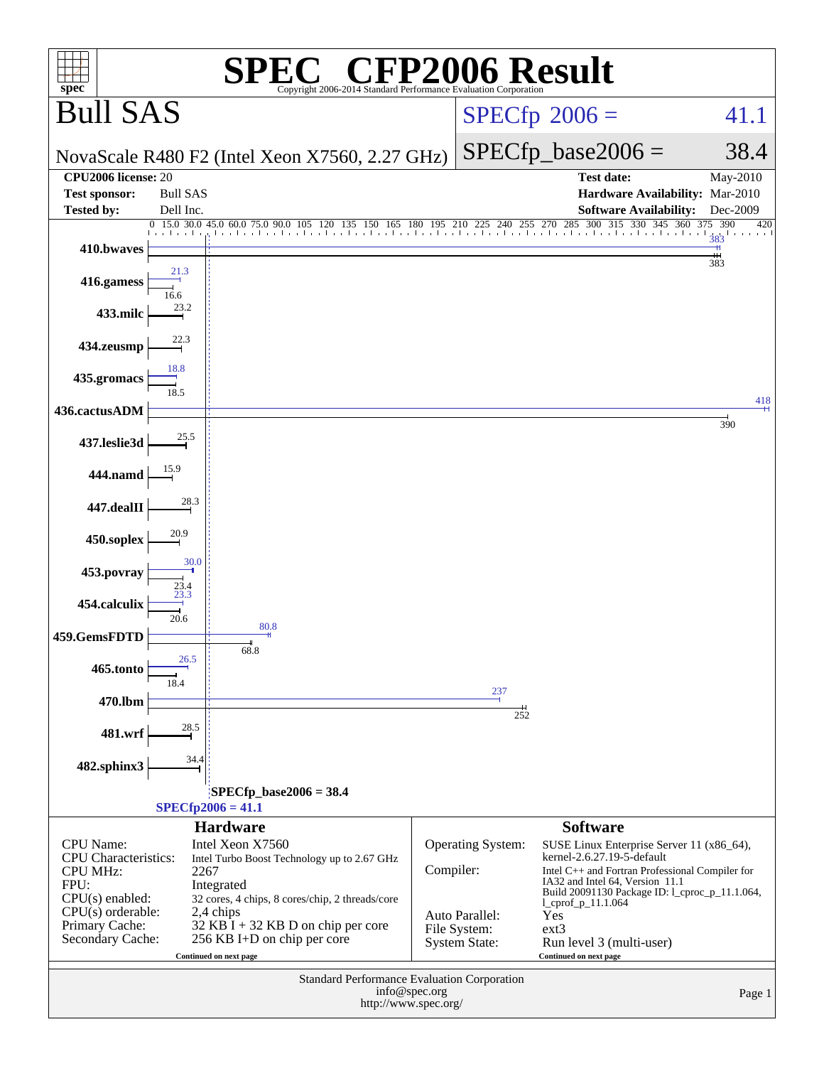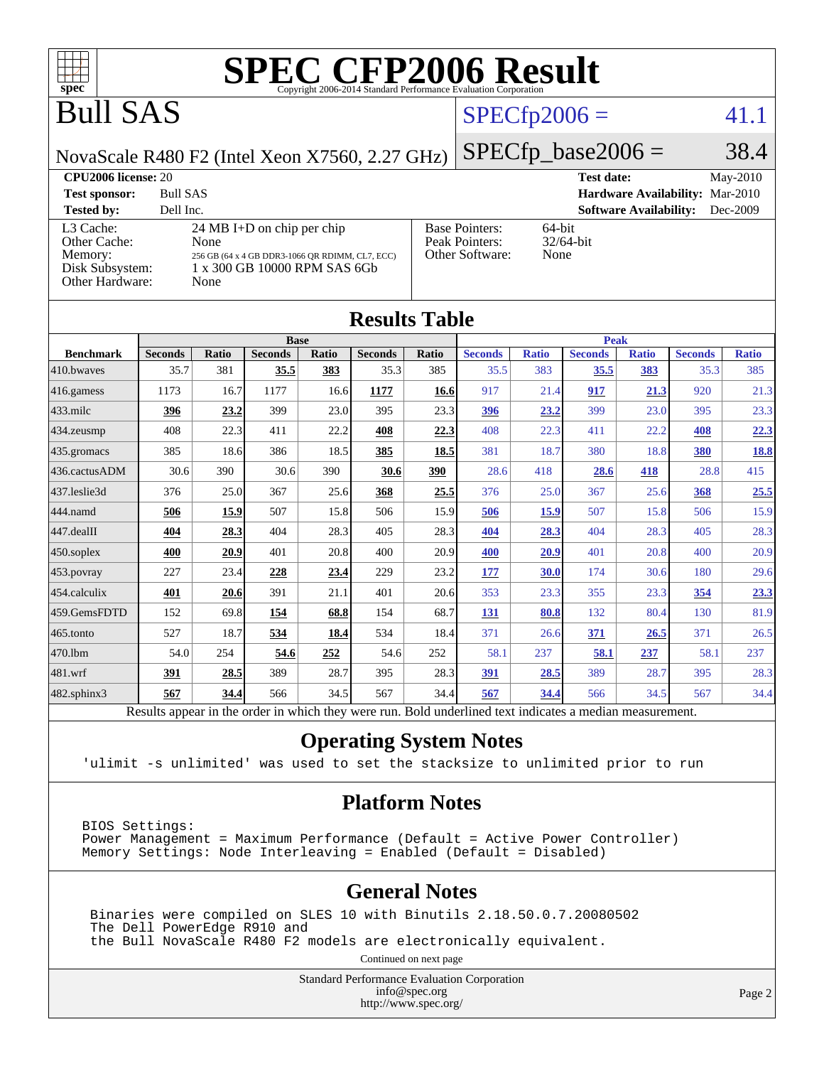

## Bull SAS

## $SPECfp2006 = 41.1$  $SPECfp2006 = 41.1$

NovaScale R480 F2 (Intel Xeon X7560, 2.27 GHz)

 $SPECTp\_base2006 = 38.4$ 

#### **[CPU2006 license:](http://www.spec.org/auto/cpu2006/Docs/result-fields.html#CPU2006license)** 20 **[Test date:](http://www.spec.org/auto/cpu2006/Docs/result-fields.html#Testdate)** May-2010 **[Test sponsor:](http://www.spec.org/auto/cpu2006/Docs/result-fields.html#Testsponsor)** Bull SAS **[Hardware Availability:](http://www.spec.org/auto/cpu2006/Docs/result-fields.html#HardwareAvailability)** Mar-2010 **[Tested by:](http://www.spec.org/auto/cpu2006/Docs/result-fields.html#Testedby)** Dell Inc. **[Software Availability:](http://www.spec.org/auto/cpu2006/Docs/result-fields.html#SoftwareAvailability)** Dec-2009 [L3 Cache:](http://www.spec.org/auto/cpu2006/Docs/result-fields.html#L3Cache) 24 MB I+D on chip per chip<br>Other Cache: None [Other Cache:](http://www.spec.org/auto/cpu2006/Docs/result-fields.html#OtherCache) [Memory:](http://www.spec.org/auto/cpu2006/Docs/result-fields.html#Memory) 256 GB (64 x 4 GB DDR3-1066 QR RDIMM, CL7, ECC) [Disk Subsystem:](http://www.spec.org/auto/cpu2006/Docs/result-fields.html#DiskSubsystem) 1 x 300 GB 10000 RPM SAS 6Gb [Other Hardware:](http://www.spec.org/auto/cpu2006/Docs/result-fields.html#OtherHardware) None [Base Pointers:](http://www.spec.org/auto/cpu2006/Docs/result-fields.html#BasePointers) 64-bit<br>Peak Pointers: 32/64-bit [Peak Pointers:](http://www.spec.org/auto/cpu2006/Docs/result-fields.html#PeakPointers) [Other Software:](http://www.spec.org/auto/cpu2006/Docs/result-fields.html#OtherSoftware) None

| <b>Results Table</b>   |                                                                                                          |              |                |       |                |       |                |              |                |              |                |              |
|------------------------|----------------------------------------------------------------------------------------------------------|--------------|----------------|-------|----------------|-------|----------------|--------------|----------------|--------------|----------------|--------------|
|                        | <b>Base</b>                                                                                              |              |                |       |                |       | <b>Peak</b>    |              |                |              |                |              |
| <b>Benchmark</b>       | <b>Seconds</b>                                                                                           | <b>Ratio</b> | <b>Seconds</b> | Ratio | <b>Seconds</b> | Ratio | <b>Seconds</b> | <b>Ratio</b> | <b>Seconds</b> | <b>Ratio</b> | <b>Seconds</b> | <b>Ratio</b> |
| 410.bwayes             | 35.7                                                                                                     | 381          | 35.5           | 383   | 35.3           | 385   | 35.5           | 383          | 35.5           | 383          | 35.3           | 385          |
| 416.gamess             | 1173                                                                                                     | 16.7         | 1177           | 16.6  | 1177           | 16.6  | 917            | 21.4         | 917            | 21.3         | 920            | 21.3         |
| $433$ .milc            | 396                                                                                                      | 23.2         | 399            | 23.0  | 395            | 23.3  | 396            | 23.2         | 399            | 23.0         | 395            | 23.3         |
| $434$ . zeusmp         | 408                                                                                                      | 22.3         | 411            | 22.2  | 408            | 22.3  | 408            | 22.3         | 411            | 22.2         | 408            | 22.3         |
| $435.$ gromacs         | 385                                                                                                      | 18.6         | 386            | 18.5  | 385            | 18.5  | 381            | 18.7         | 380            | 18.8         | 380            | <u>18.8</u>  |
| 436.cactusADM          | 30.6                                                                                                     | 390          | 30.6           | 390   | 30.6           | 390   | 28.6           | 418          | 28.6           | 418          | 28.8           | 415          |
| 437.leslie3d           | 376                                                                                                      | 25.0         | 367            | 25.6  | 368            | 25.5  | 376            | 25.0         | 367            | 25.6         | 368            | 25.5         |
| 444.namd               | 506                                                                                                      | 15.9         | 507            | 15.8  | 506            | 15.9  | 506            | <u>15.9</u>  | 507            | 15.8         | 506            | 15.9         |
| $ 447 \text{.}$ dealII | 404                                                                                                      | 28.3         | 404            | 28.3  | 405            | 28.3  | 404            | 28.3         | 404            | 28.3         | 405            | 28.3         |
| $450$ .soplex          | 400                                                                                                      | 20.9         | 401            | 20.8  | 400            | 20.9  | 400            | 20.9         | 401            | 20.8         | 400            | 20.9         |
| $453$ .povray          | 227                                                                                                      | 23.4         | 228            | 23.4  | 229            | 23.2  | 177            | 30.0         | 174            | 30.6         | 180            | 29.6         |
| 454.calculix           | 401                                                                                                      | 20.6         | 391            | 21.1  | 401            | 20.6  | 353            | 23.3         | 355            | 23.3         | 354            | 23.3         |
| 459.GemsFDTD           | 152                                                                                                      | 69.8         | 154            | 68.8  | 154            | 68.7  | 131            | 80.8         | 132            | 80.4         | 130            | 81.9         |
| 465.tonto              | 527                                                                                                      | 18.7         | 534            | 18.4  | 534            | 18.4  | 371            | 26.6         | 371            | 26.5         | 371            | 26.5         |
| 470.1bm                | 54.0                                                                                                     | 254          | 54.6           | 252   | 54.6           | 252   | 58.1           | 237          | 58.1           | 237          | 58.1           | 237          |
| $481$ .wrf             | 391                                                                                                      | 28.5         | 389            | 28.7  | 395            | 28.3  | 391            | 28.5         | 389            | 28.7         | 395            | 28.3         |
| $482$ .sphinx $3$      | 567                                                                                                      | 34.4         | 566            | 34.5  | 567            | 34.4  | 567            | 34.4         | 566            | 34.5         | 567            | 34.4         |
|                        | Results appear in the order in which they were run. Bold underlined text indicates a median measurement. |              |                |       |                |       |                |              |                |              |                |              |

#### **[Operating System Notes](http://www.spec.org/auto/cpu2006/Docs/result-fields.html#OperatingSystemNotes)**

'ulimit -s unlimited' was used to set the stacksize to unlimited prior to run

#### **[Platform Notes](http://www.spec.org/auto/cpu2006/Docs/result-fields.html#PlatformNotes)**

BIOS Settings: Power Management = Maximum Performance (Default = Active Power Controller) Memory Settings: Node Interleaving = Enabled (Default = Disabled)

#### **[General Notes](http://www.spec.org/auto/cpu2006/Docs/result-fields.html#GeneralNotes)**

 Binaries were compiled on SLES 10 with Binutils 2.18.50.0.7.20080502 The Dell PowerEdge R910 and the Bull NovaScale R480 F2 models are electronically equivalent.

Continued on next page

Standard Performance Evaluation Corporation [info@spec.org](mailto:info@spec.org) <http://www.spec.org/>

Page 2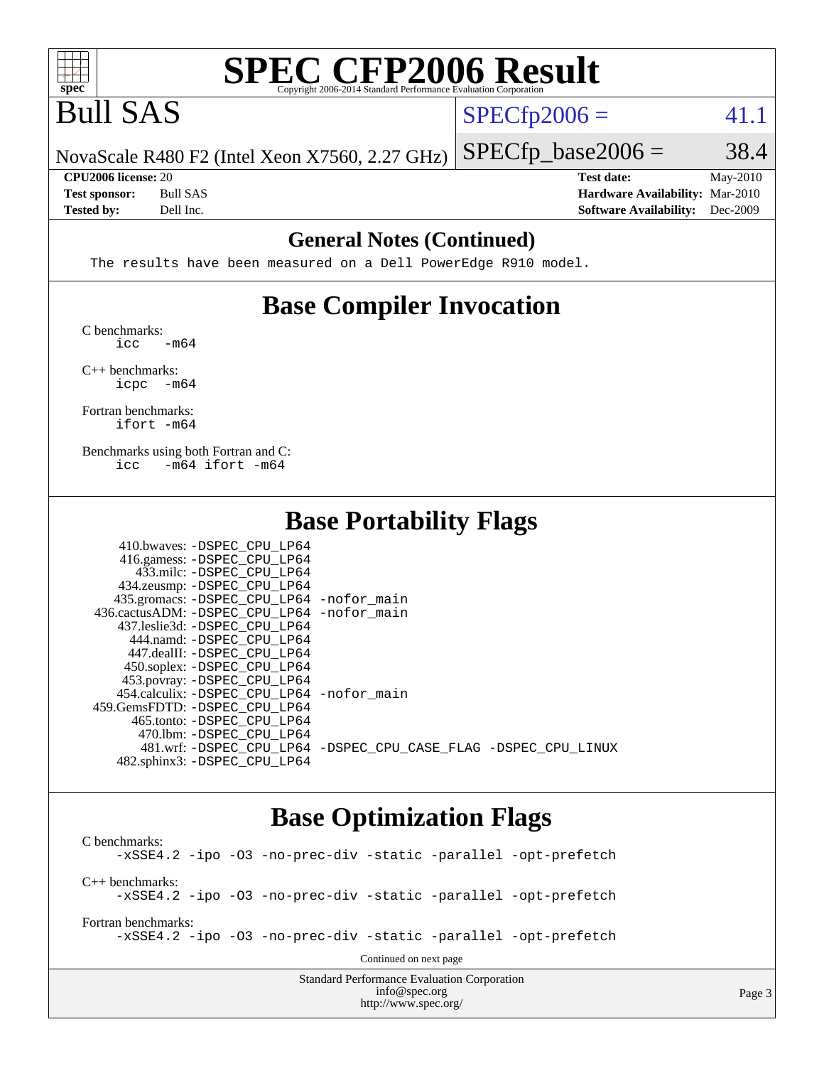

## Bull SAS

 $SPECTp2006 = 41.1$ 

Page 3

NovaScale R480 F2 (Intel Xeon X7560, 2.27 GHz)

**[Tested by:](http://www.spec.org/auto/cpu2006/Docs/result-fields.html#Testedby)** Dell Inc. **[Software Availability:](http://www.spec.org/auto/cpu2006/Docs/result-fields.html#SoftwareAvailability)** Dec-2009

 $SPECTp\_base2006 = 38.4$ **[CPU2006 license:](http://www.spec.org/auto/cpu2006/Docs/result-fields.html#CPU2006license)** 20 **[Test date:](http://www.spec.org/auto/cpu2006/Docs/result-fields.html#Testdate)** May-2010 **[Test sponsor:](http://www.spec.org/auto/cpu2006/Docs/result-fields.html#Testsponsor)** Bull SAS **[Hardware Availability:](http://www.spec.org/auto/cpu2006/Docs/result-fields.html#HardwareAvailability)** Mar-2010

#### **[General Notes \(Continued\)](http://www.spec.org/auto/cpu2006/Docs/result-fields.html#GeneralNotes)**

The results have been measured on a Dell PowerEdge R910 model.

#### **[Base Compiler Invocation](http://www.spec.org/auto/cpu2006/Docs/result-fields.html#BaseCompilerInvocation)**

[C benchmarks](http://www.spec.org/auto/cpu2006/Docs/result-fields.html#Cbenchmarks):  $\text{icc}$   $-\text{m64}$ 

[C++ benchmarks:](http://www.spec.org/auto/cpu2006/Docs/result-fields.html#CXXbenchmarks) [icpc -m64](http://www.spec.org/cpu2006/results/res2010q3/cpu2006-20100621-11961.flags.html#user_CXXbase_intel_icpc_64bit_bedb90c1146cab66620883ef4f41a67e)

[Fortran benchmarks](http://www.spec.org/auto/cpu2006/Docs/result-fields.html#Fortranbenchmarks): [ifort -m64](http://www.spec.org/cpu2006/results/res2010q3/cpu2006-20100621-11961.flags.html#user_FCbase_intel_ifort_64bit_ee9d0fb25645d0210d97eb0527dcc06e)

[Benchmarks using both Fortran and C](http://www.spec.org/auto/cpu2006/Docs/result-fields.html#BenchmarksusingbothFortranandC): [icc -m64](http://www.spec.org/cpu2006/results/res2010q3/cpu2006-20100621-11961.flags.html#user_CC_FCbase_intel_icc_64bit_0b7121f5ab7cfabee23d88897260401c) [ifort -m64](http://www.spec.org/cpu2006/results/res2010q3/cpu2006-20100621-11961.flags.html#user_CC_FCbase_intel_ifort_64bit_ee9d0fb25645d0210d97eb0527dcc06e)

#### **[Base Portability Flags](http://www.spec.org/auto/cpu2006/Docs/result-fields.html#BasePortabilityFlags)**

| 410.bwaves: -DSPEC CPU LP64                |                                                                |
|--------------------------------------------|----------------------------------------------------------------|
| 416.gamess: -DSPEC_CPU_LP64                |                                                                |
| 433.milc: -DSPEC CPU LP64                  |                                                                |
| 434.zeusmp: -DSPEC_CPU_LP64                |                                                                |
| 435.gromacs: -DSPEC_CPU_LP64 -nofor_main   |                                                                |
| 436.cactusADM: -DSPEC CPU LP64 -nofor main |                                                                |
| 437.leslie3d: -DSPEC CPU LP64              |                                                                |
| 444.namd: -DSPEC CPU LP64                  |                                                                |
| 447.dealII: -DSPEC CPU LP64                |                                                                |
| 450.soplex: -DSPEC_CPU_LP64                |                                                                |
| 453.povray: -DSPEC_CPU_LP64                |                                                                |
| 454.calculix: -DSPEC CPU LP64 -nofor main  |                                                                |
| 459.GemsFDTD: -DSPEC CPU LP64              |                                                                |
| 465.tonto: - DSPEC CPU LP64                |                                                                |
| 470.1bm: - DSPEC CPU LP64                  |                                                                |
|                                            | 481.wrf: -DSPEC CPU_LP64 -DSPEC_CPU_CASE_FLAG -DSPEC_CPU_LINUX |
| 482.sphinx3: -DSPEC CPU LP64               |                                                                |

#### **[Base Optimization Flags](http://www.spec.org/auto/cpu2006/Docs/result-fields.html#BaseOptimizationFlags)**

[info@spec.org](mailto:info@spec.org) <http://www.spec.org/>

Standard Performance Evaluation Corporation [C benchmarks](http://www.spec.org/auto/cpu2006/Docs/result-fields.html#Cbenchmarks): [-xSSE4.2](http://www.spec.org/cpu2006/results/res2010q3/cpu2006-20100621-11961.flags.html#user_CCbase_f-xSSE42_f91528193cf0b216347adb8b939d4107) [-ipo](http://www.spec.org/cpu2006/results/res2010q3/cpu2006-20100621-11961.flags.html#user_CCbase_f-ipo) [-O3](http://www.spec.org/cpu2006/results/res2010q3/cpu2006-20100621-11961.flags.html#user_CCbase_f-O3) [-no-prec-div](http://www.spec.org/cpu2006/results/res2010q3/cpu2006-20100621-11961.flags.html#user_CCbase_f-no-prec-div) [-static](http://www.spec.org/cpu2006/results/res2010q3/cpu2006-20100621-11961.flags.html#user_CCbase_f-static) [-parallel](http://www.spec.org/cpu2006/results/res2010q3/cpu2006-20100621-11961.flags.html#user_CCbase_f-parallel) [-opt-prefetch](http://www.spec.org/cpu2006/results/res2010q3/cpu2006-20100621-11961.flags.html#user_CCbase_f-opt-prefetch) [C++ benchmarks:](http://www.spec.org/auto/cpu2006/Docs/result-fields.html#CXXbenchmarks) [-xSSE4.2](http://www.spec.org/cpu2006/results/res2010q3/cpu2006-20100621-11961.flags.html#user_CXXbase_f-xSSE42_f91528193cf0b216347adb8b939d4107) [-ipo](http://www.spec.org/cpu2006/results/res2010q3/cpu2006-20100621-11961.flags.html#user_CXXbase_f-ipo) [-O3](http://www.spec.org/cpu2006/results/res2010q3/cpu2006-20100621-11961.flags.html#user_CXXbase_f-O3) [-no-prec-div](http://www.spec.org/cpu2006/results/res2010q3/cpu2006-20100621-11961.flags.html#user_CXXbase_f-no-prec-div) [-static](http://www.spec.org/cpu2006/results/res2010q3/cpu2006-20100621-11961.flags.html#user_CXXbase_f-static) [-parallel](http://www.spec.org/cpu2006/results/res2010q3/cpu2006-20100621-11961.flags.html#user_CXXbase_f-parallel) [-opt-prefetch](http://www.spec.org/cpu2006/results/res2010q3/cpu2006-20100621-11961.flags.html#user_CXXbase_f-opt-prefetch) [Fortran benchmarks](http://www.spec.org/auto/cpu2006/Docs/result-fields.html#Fortranbenchmarks): [-xSSE4.2](http://www.spec.org/cpu2006/results/res2010q3/cpu2006-20100621-11961.flags.html#user_FCbase_f-xSSE42_f91528193cf0b216347adb8b939d4107) [-ipo](http://www.spec.org/cpu2006/results/res2010q3/cpu2006-20100621-11961.flags.html#user_FCbase_f-ipo) [-O3](http://www.spec.org/cpu2006/results/res2010q3/cpu2006-20100621-11961.flags.html#user_FCbase_f-O3) [-no-prec-div](http://www.spec.org/cpu2006/results/res2010q3/cpu2006-20100621-11961.flags.html#user_FCbase_f-no-prec-div) [-static](http://www.spec.org/cpu2006/results/res2010q3/cpu2006-20100621-11961.flags.html#user_FCbase_f-static) [-parallel](http://www.spec.org/cpu2006/results/res2010q3/cpu2006-20100621-11961.flags.html#user_FCbase_f-parallel) [-opt-prefetch](http://www.spec.org/cpu2006/results/res2010q3/cpu2006-20100621-11961.flags.html#user_FCbase_f-opt-prefetch) Continued on next page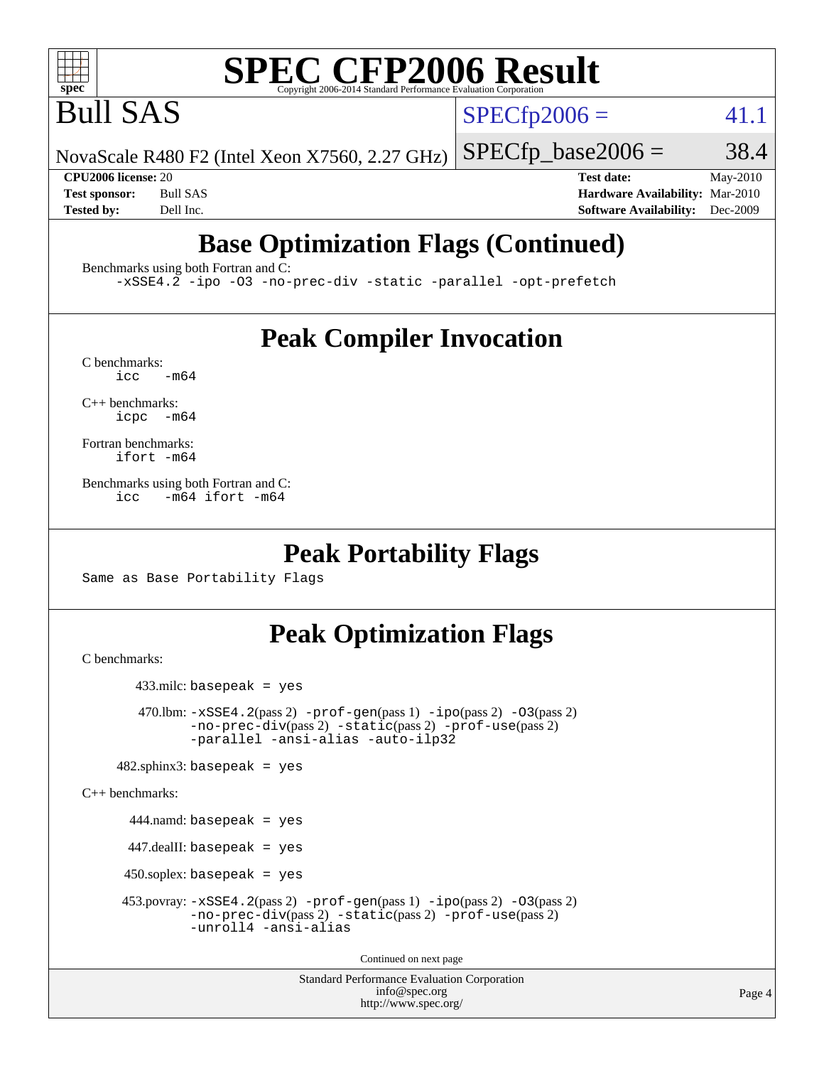

Bull SAS

 $SPECTp2006 = 41.1$ 

NovaScale R480 F2 (Intel Xeon X7560, 2.27 GHz)  $SPECTp\_base2006 = 38.4$ 

**[CPU2006 license:](http://www.spec.org/auto/cpu2006/Docs/result-fields.html#CPU2006license)** 20 **[Test date:](http://www.spec.org/auto/cpu2006/Docs/result-fields.html#Testdate)** May-2010 **[Test sponsor:](http://www.spec.org/auto/cpu2006/Docs/result-fields.html#Testsponsor)** Bull SAS **[Hardware Availability:](http://www.spec.org/auto/cpu2006/Docs/result-fields.html#HardwareAvailability)** Mar-2010 **[Tested by:](http://www.spec.org/auto/cpu2006/Docs/result-fields.html#Testedby)** Dell Inc. **[Software Availability:](http://www.spec.org/auto/cpu2006/Docs/result-fields.html#SoftwareAvailability)** Dec-2009

## **[Base Optimization Flags \(Continued\)](http://www.spec.org/auto/cpu2006/Docs/result-fields.html#BaseOptimizationFlags)**

[Benchmarks using both Fortran and C](http://www.spec.org/auto/cpu2006/Docs/result-fields.html#BenchmarksusingbothFortranandC):

[-xSSE4.2](http://www.spec.org/cpu2006/results/res2010q3/cpu2006-20100621-11961.flags.html#user_CC_FCbase_f-xSSE42_f91528193cf0b216347adb8b939d4107) [-ipo](http://www.spec.org/cpu2006/results/res2010q3/cpu2006-20100621-11961.flags.html#user_CC_FCbase_f-ipo) [-O3](http://www.spec.org/cpu2006/results/res2010q3/cpu2006-20100621-11961.flags.html#user_CC_FCbase_f-O3) [-no-prec-div](http://www.spec.org/cpu2006/results/res2010q3/cpu2006-20100621-11961.flags.html#user_CC_FCbase_f-no-prec-div) [-static](http://www.spec.org/cpu2006/results/res2010q3/cpu2006-20100621-11961.flags.html#user_CC_FCbase_f-static) [-parallel](http://www.spec.org/cpu2006/results/res2010q3/cpu2006-20100621-11961.flags.html#user_CC_FCbase_f-parallel) [-opt-prefetch](http://www.spec.org/cpu2006/results/res2010q3/cpu2006-20100621-11961.flags.html#user_CC_FCbase_f-opt-prefetch)

### **[Peak Compiler Invocation](http://www.spec.org/auto/cpu2006/Docs/result-fields.html#PeakCompilerInvocation)**

 $C$  benchmarks:<br>icc  $-m64$ 

[C++ benchmarks:](http://www.spec.org/auto/cpu2006/Docs/result-fields.html#CXXbenchmarks) [icpc -m64](http://www.spec.org/cpu2006/results/res2010q3/cpu2006-20100621-11961.flags.html#user_CXXpeak_intel_icpc_64bit_bedb90c1146cab66620883ef4f41a67e)

[Fortran benchmarks](http://www.spec.org/auto/cpu2006/Docs/result-fields.html#Fortranbenchmarks): [ifort -m64](http://www.spec.org/cpu2006/results/res2010q3/cpu2006-20100621-11961.flags.html#user_FCpeak_intel_ifort_64bit_ee9d0fb25645d0210d97eb0527dcc06e)

[Benchmarks using both Fortran and C](http://www.spec.org/auto/cpu2006/Docs/result-fields.html#BenchmarksusingbothFortranandC): [icc -m64](http://www.spec.org/cpu2006/results/res2010q3/cpu2006-20100621-11961.flags.html#user_CC_FCpeak_intel_icc_64bit_0b7121f5ab7cfabee23d88897260401c) [ifort -m64](http://www.spec.org/cpu2006/results/res2010q3/cpu2006-20100621-11961.flags.html#user_CC_FCpeak_intel_ifort_64bit_ee9d0fb25645d0210d97eb0527dcc06e)

#### **[Peak Portability Flags](http://www.spec.org/auto/cpu2006/Docs/result-fields.html#PeakPortabilityFlags)**

Same as Base Portability Flags

### **[Peak Optimization Flags](http://www.spec.org/auto/cpu2006/Docs/result-fields.html#PeakOptimizationFlags)**

[C benchmarks](http://www.spec.org/auto/cpu2006/Docs/result-fields.html#Cbenchmarks):

```
 433.milc: basepeak = yes
       470.1bm: -xSSE4. 2(pass 2) -prof-gen-ipo-O3(pass 2)-no-prec-div(pass 2) -static(pass 2) -prof-use(pass 2)
               -parallel -ansi-alias -auto-ilp32
    482.sphinx3: basepeak = yes
C++ benchmarks: 
       444.namd: basepeak = yes
       447.dealII: basepeak = yes
      450.soplex: basepeak = yes
```

```
 453.povray: -xSSE4.2(pass 2) -prof-gen(pass 1) -ipo(pass 2) -O3(pass 2)
          -no-prec-div(pass 2) -static(pass 2) -prof-use(pass 2)
```

```
-unroll4 -ansi-alias
```
Continued on next page

```
Standard Performance Evaluation Corporation
             info@spec.org
           http://www.spec.org/
```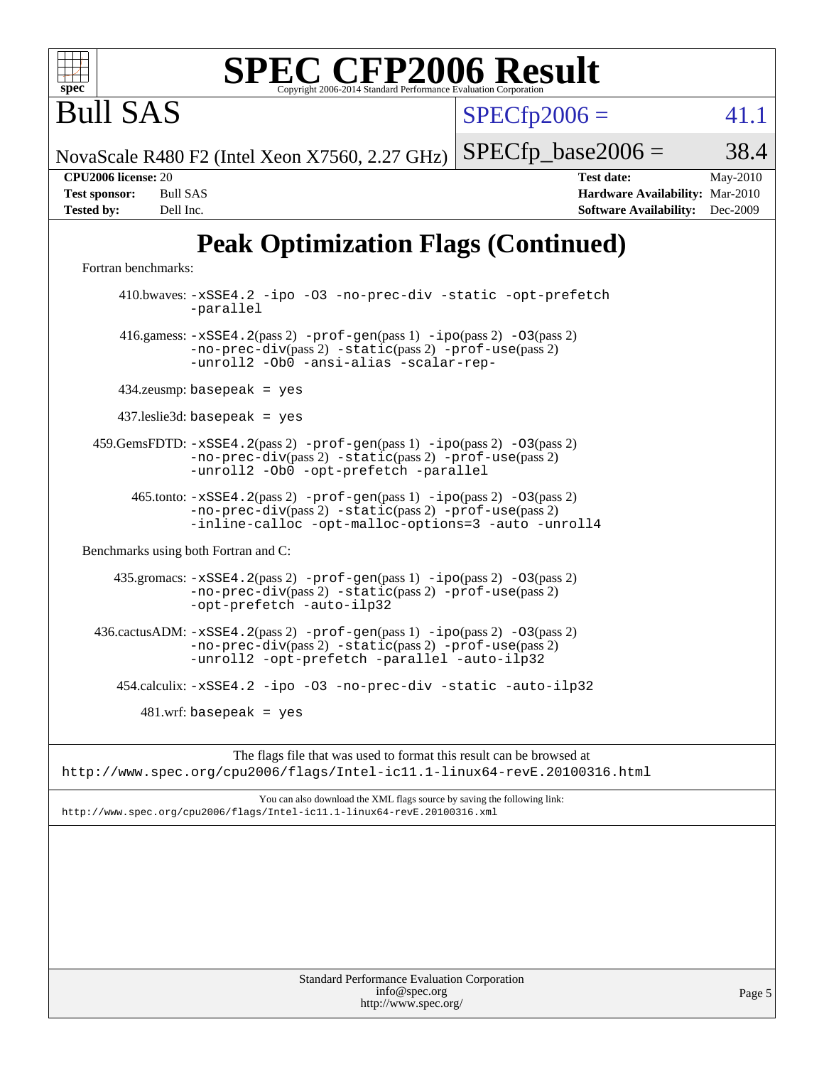

Bull SAS

 $SPECTp2006 = 41.1$ 

NovaScale R480 F2 (Intel Xeon X7560, 2.27 GHz)

 $SPECTp\_base2006 = 38.4$ 

**[CPU2006 license:](http://www.spec.org/auto/cpu2006/Docs/result-fields.html#CPU2006license)** 20 **[Test date:](http://www.spec.org/auto/cpu2006/Docs/result-fields.html#Testdate)** May-2010 **[Test sponsor:](http://www.spec.org/auto/cpu2006/Docs/result-fields.html#Testsponsor)** Bull SAS **[Hardware Availability:](http://www.spec.org/auto/cpu2006/Docs/result-fields.html#HardwareAvailability)** Mar-2010 **[Tested by:](http://www.spec.org/auto/cpu2006/Docs/result-fields.html#Testedby)** Dell Inc. **[Software Availability:](http://www.spec.org/auto/cpu2006/Docs/result-fields.html#SoftwareAvailability)** Dec-2009

## **[Peak Optimization Flags \(Continued\)](http://www.spec.org/auto/cpu2006/Docs/result-fields.html#PeakOptimizationFlags)**

[Fortran benchmarks](http://www.spec.org/auto/cpu2006/Docs/result-fields.html#Fortranbenchmarks):

 410.bwaves: [-xSSE4.2](http://www.spec.org/cpu2006/results/res2010q3/cpu2006-20100621-11961.flags.html#user_peakOPTIMIZE410_bwaves_f-xSSE42_f91528193cf0b216347adb8b939d4107) [-ipo](http://www.spec.org/cpu2006/results/res2010q3/cpu2006-20100621-11961.flags.html#user_peakOPTIMIZE410_bwaves_f-ipo) [-O3](http://www.spec.org/cpu2006/results/res2010q3/cpu2006-20100621-11961.flags.html#user_peakOPTIMIZE410_bwaves_f-O3) [-no-prec-div](http://www.spec.org/cpu2006/results/res2010q3/cpu2006-20100621-11961.flags.html#user_peakOPTIMIZE410_bwaves_f-no-prec-div) [-static](http://www.spec.org/cpu2006/results/res2010q3/cpu2006-20100621-11961.flags.html#user_peakOPTIMIZE410_bwaves_f-static) [-opt-prefetch](http://www.spec.org/cpu2006/results/res2010q3/cpu2006-20100621-11961.flags.html#user_peakOPTIMIZE410_bwaves_f-opt-prefetch) [-parallel](http://www.spec.org/cpu2006/results/res2010q3/cpu2006-20100621-11961.flags.html#user_peakOPTIMIZE410_bwaves_f-parallel) 416.gamess:  $-xSSE4$ . 2(pass 2)  $-prof-gen(pass 1) -ipo(pass 2) -O3(pass 2)$  $-prof-gen(pass 1) -ipo(pass 2) -O3(pass 2)$  $-prof-gen(pass 1) -ipo(pass 2) -O3(pass 2)$  $-prof-gen(pass 1) -ipo(pass 2) -O3(pass 2)$  $-prof-gen(pass 1) -ipo(pass 2) -O3(pass 2)$  $-prof-gen(pass 1) -ipo(pass 2) -O3(pass 2)$ [-no-prec-div](http://www.spec.org/cpu2006/results/res2010q3/cpu2006-20100621-11961.flags.html#user_peakPASS2_FFLAGSPASS2_LDFLAGS416_gamess_f-no-prec-div)(pass 2) [-static](http://www.spec.org/cpu2006/results/res2010q3/cpu2006-20100621-11961.flags.html#user_peakPASS2_FFLAGSPASS2_LDFLAGS416_gamess_f-static)(pass 2) [-prof-use](http://www.spec.org/cpu2006/results/res2010q3/cpu2006-20100621-11961.flags.html#user_peakPASS2_FFLAGSPASS2_LDFLAGS416_gamess_prof_use_bccf7792157ff70d64e32fe3e1250b55)(pass 2) [-unroll2](http://www.spec.org/cpu2006/results/res2010q3/cpu2006-20100621-11961.flags.html#user_peakOPTIMIZE416_gamess_f-unroll_784dae83bebfb236979b41d2422d7ec2) [-Ob0](http://www.spec.org/cpu2006/results/res2010q3/cpu2006-20100621-11961.flags.html#user_peakOPTIMIZE416_gamess_f-Ob_n_fbe6f6428adb7d4b74b1e99bb2444c2d) [-ansi-alias](http://www.spec.org/cpu2006/results/res2010q3/cpu2006-20100621-11961.flags.html#user_peakOPTIMIZE416_gamess_f-ansi-alias) [-scalar-rep-](http://www.spec.org/cpu2006/results/res2010q3/cpu2006-20100621-11961.flags.html#user_peakOPTIMIZE416_gamess_f-disablescalarrep_abbcad04450fb118e4809c81d83c8a1d) 434.zeusmp: basepeak = yes 437.leslie3d: basepeak = yes 459.GemsFDTD: [-xSSE4.2](http://www.spec.org/cpu2006/results/res2010q3/cpu2006-20100621-11961.flags.html#user_peakPASS2_FFLAGSPASS2_LDFLAGS459_GemsFDTD_f-xSSE42_f91528193cf0b216347adb8b939d4107)(pass 2) [-prof-gen](http://www.spec.org/cpu2006/results/res2010q3/cpu2006-20100621-11961.flags.html#user_peakPASS1_FFLAGSPASS1_LDFLAGS459_GemsFDTD_prof_gen_e43856698f6ca7b7e442dfd80e94a8fc)(pass 1) [-ipo](http://www.spec.org/cpu2006/results/res2010q3/cpu2006-20100621-11961.flags.html#user_peakPASS2_FFLAGSPASS2_LDFLAGS459_GemsFDTD_f-ipo)(pass 2) [-O3](http://www.spec.org/cpu2006/results/res2010q3/cpu2006-20100621-11961.flags.html#user_peakPASS2_FFLAGSPASS2_LDFLAGS459_GemsFDTD_f-O3)(pass 2) [-no-prec-div](http://www.spec.org/cpu2006/results/res2010q3/cpu2006-20100621-11961.flags.html#user_peakPASS2_FFLAGSPASS2_LDFLAGS459_GemsFDTD_f-no-prec-div)(pass 2) [-static](http://www.spec.org/cpu2006/results/res2010q3/cpu2006-20100621-11961.flags.html#user_peakPASS2_FFLAGSPASS2_LDFLAGS459_GemsFDTD_f-static)(pass 2) [-prof-use](http://www.spec.org/cpu2006/results/res2010q3/cpu2006-20100621-11961.flags.html#user_peakPASS2_FFLAGSPASS2_LDFLAGS459_GemsFDTD_prof_use_bccf7792157ff70d64e32fe3e1250b55)(pass 2) [-unroll2](http://www.spec.org/cpu2006/results/res2010q3/cpu2006-20100621-11961.flags.html#user_peakOPTIMIZE459_GemsFDTD_f-unroll_784dae83bebfb236979b41d2422d7ec2) [-Ob0](http://www.spec.org/cpu2006/results/res2010q3/cpu2006-20100621-11961.flags.html#user_peakOPTIMIZE459_GemsFDTD_f-Ob_n_fbe6f6428adb7d4b74b1e99bb2444c2d) [-opt-prefetch](http://www.spec.org/cpu2006/results/res2010q3/cpu2006-20100621-11961.flags.html#user_peakOPTIMIZE459_GemsFDTD_f-opt-prefetch) [-parallel](http://www.spec.org/cpu2006/results/res2010q3/cpu2006-20100621-11961.flags.html#user_peakOPTIMIZE459_GemsFDTD_f-parallel) 465.tonto: [-xSSE4.2](http://www.spec.org/cpu2006/results/res2010q3/cpu2006-20100621-11961.flags.html#user_peakPASS2_FFLAGSPASS2_LDFLAGS465_tonto_f-xSSE42_f91528193cf0b216347adb8b939d4107)(pass 2) [-prof-gen](http://www.spec.org/cpu2006/results/res2010q3/cpu2006-20100621-11961.flags.html#user_peakPASS1_FFLAGSPASS1_LDFLAGS465_tonto_prof_gen_e43856698f6ca7b7e442dfd80e94a8fc)(pass 1) [-ipo](http://www.spec.org/cpu2006/results/res2010q3/cpu2006-20100621-11961.flags.html#user_peakPASS2_FFLAGSPASS2_LDFLAGS465_tonto_f-ipo)(pass 2) [-O3](http://www.spec.org/cpu2006/results/res2010q3/cpu2006-20100621-11961.flags.html#user_peakPASS2_FFLAGSPASS2_LDFLAGS465_tonto_f-O3)(pass 2) [-no-prec-div](http://www.spec.org/cpu2006/results/res2010q3/cpu2006-20100621-11961.flags.html#user_peakPASS2_FFLAGSPASS2_LDFLAGS465_tonto_f-no-prec-div)(pass 2) [-static](http://www.spec.org/cpu2006/results/res2010q3/cpu2006-20100621-11961.flags.html#user_peakPASS2_FFLAGSPASS2_LDFLAGS465_tonto_f-static)(pass 2) [-prof-use](http://www.spec.org/cpu2006/results/res2010q3/cpu2006-20100621-11961.flags.html#user_peakPASS2_FFLAGSPASS2_LDFLAGS465_tonto_prof_use_bccf7792157ff70d64e32fe3e1250b55)(pass 2) [-inline-calloc](http://www.spec.org/cpu2006/results/res2010q3/cpu2006-20100621-11961.flags.html#user_peakOPTIMIZE465_tonto_f-inline-calloc) [-opt-malloc-options=3](http://www.spec.org/cpu2006/results/res2010q3/cpu2006-20100621-11961.flags.html#user_peakOPTIMIZE465_tonto_f-opt-malloc-options_13ab9b803cf986b4ee62f0a5998c2238) [-auto](http://www.spec.org/cpu2006/results/res2010q3/cpu2006-20100621-11961.flags.html#user_peakOPTIMIZE465_tonto_f-auto) [-unroll4](http://www.spec.org/cpu2006/results/res2010q3/cpu2006-20100621-11961.flags.html#user_peakOPTIMIZE465_tonto_f-unroll_4e5e4ed65b7fd20bdcd365bec371b81f) [Benchmarks using both Fortran and C](http://www.spec.org/auto/cpu2006/Docs/result-fields.html#BenchmarksusingbothFortranandC): 435.gromacs: [-xSSE4.2](http://www.spec.org/cpu2006/results/res2010q3/cpu2006-20100621-11961.flags.html#user_peakPASS2_CFLAGSPASS2_FFLAGSPASS2_LDFLAGS435_gromacs_f-xSSE42_f91528193cf0b216347adb8b939d4107)(pass 2) [-prof-gen](http://www.spec.org/cpu2006/results/res2010q3/cpu2006-20100621-11961.flags.html#user_peakPASS1_CFLAGSPASS1_FFLAGSPASS1_LDFLAGS435_gromacs_prof_gen_e43856698f6ca7b7e442dfd80e94a8fc)(pass 1) [-ipo](http://www.spec.org/cpu2006/results/res2010q3/cpu2006-20100621-11961.flags.html#user_peakPASS2_CFLAGSPASS2_FFLAGSPASS2_LDFLAGS435_gromacs_f-ipo)(pass 2) [-O3](http://www.spec.org/cpu2006/results/res2010q3/cpu2006-20100621-11961.flags.html#user_peakPASS2_CFLAGSPASS2_FFLAGSPASS2_LDFLAGS435_gromacs_f-O3)(pass 2) [-no-prec-div](http://www.spec.org/cpu2006/results/res2010q3/cpu2006-20100621-11961.flags.html#user_peakPASS2_CFLAGSPASS2_FFLAGSPASS2_LDFLAGS435_gromacs_f-no-prec-div)(pass 2) [-static](http://www.spec.org/cpu2006/results/res2010q3/cpu2006-20100621-11961.flags.html#user_peakPASS2_CFLAGSPASS2_FFLAGSPASS2_LDFLAGS435_gromacs_f-static)(pass 2) [-prof-use](http://www.spec.org/cpu2006/results/res2010q3/cpu2006-20100621-11961.flags.html#user_peakPASS2_CFLAGSPASS2_FFLAGSPASS2_LDFLAGS435_gromacs_prof_use_bccf7792157ff70d64e32fe3e1250b55)(pass 2) [-opt-prefetch](http://www.spec.org/cpu2006/results/res2010q3/cpu2006-20100621-11961.flags.html#user_peakOPTIMIZE435_gromacs_f-opt-prefetch) [-auto-ilp32](http://www.spec.org/cpu2006/results/res2010q3/cpu2006-20100621-11961.flags.html#user_peakCOPTIMIZE435_gromacs_f-auto-ilp32) 436.cactusADM:  $-xSSE4$ . 2(pass 2)  $-prof-gen(pass 1) -ipo(pass 2) -O3(pass 2)$  $-prof-gen(pass 1) -ipo(pass 2) -O3(pass 2)$  $-prof-gen(pass 1) -ipo(pass 2) -O3(pass 2)$  $-prof-gen(pass 1) -ipo(pass 2) -O3(pass 2)$  $-prof-gen(pass 1) -ipo(pass 2) -O3(pass 2)$  $-prof-gen(pass 1) -ipo(pass 2) -O3(pass 2)$ [-no-prec-div](http://www.spec.org/cpu2006/results/res2010q3/cpu2006-20100621-11961.flags.html#user_peakPASS2_CFLAGSPASS2_FFLAGSPASS2_LDFLAGS436_cactusADM_f-no-prec-div)(pass 2) [-static](http://www.spec.org/cpu2006/results/res2010q3/cpu2006-20100621-11961.flags.html#user_peakPASS2_CFLAGSPASS2_FFLAGSPASS2_LDFLAGS436_cactusADM_f-static)(pass 2) [-prof-use](http://www.spec.org/cpu2006/results/res2010q3/cpu2006-20100621-11961.flags.html#user_peakPASS2_CFLAGSPASS2_FFLAGSPASS2_LDFLAGS436_cactusADM_prof_use_bccf7792157ff70d64e32fe3e1250b55)(pass 2) [-unroll2](http://www.spec.org/cpu2006/results/res2010q3/cpu2006-20100621-11961.flags.html#user_peakOPTIMIZE436_cactusADM_f-unroll_784dae83bebfb236979b41d2422d7ec2) [-opt-prefetch](http://www.spec.org/cpu2006/results/res2010q3/cpu2006-20100621-11961.flags.html#user_peakOPTIMIZE436_cactusADM_f-opt-prefetch) [-parallel](http://www.spec.org/cpu2006/results/res2010q3/cpu2006-20100621-11961.flags.html#user_peakOPTIMIZE436_cactusADM_f-parallel) [-auto-ilp32](http://www.spec.org/cpu2006/results/res2010q3/cpu2006-20100621-11961.flags.html#user_peakCOPTIMIZE436_cactusADM_f-auto-ilp32) 454.calculix: [-xSSE4.2](http://www.spec.org/cpu2006/results/res2010q3/cpu2006-20100621-11961.flags.html#user_peakOPTIMIZE454_calculix_f-xSSE42_f91528193cf0b216347adb8b939d4107) [-ipo](http://www.spec.org/cpu2006/results/res2010q3/cpu2006-20100621-11961.flags.html#user_peakOPTIMIZE454_calculix_f-ipo) [-O3](http://www.spec.org/cpu2006/results/res2010q3/cpu2006-20100621-11961.flags.html#user_peakOPTIMIZE454_calculix_f-O3) [-no-prec-div](http://www.spec.org/cpu2006/results/res2010q3/cpu2006-20100621-11961.flags.html#user_peakOPTIMIZE454_calculix_f-no-prec-div) [-static](http://www.spec.org/cpu2006/results/res2010q3/cpu2006-20100621-11961.flags.html#user_peakOPTIMIZE454_calculix_f-static) [-auto-ilp32](http://www.spec.org/cpu2006/results/res2010q3/cpu2006-20100621-11961.flags.html#user_peakCOPTIMIZE454_calculix_f-auto-ilp32)  $481$ .wrf: basepeak = yes

The flags file that was used to format this result can be browsed at <http://www.spec.org/cpu2006/flags/Intel-ic11.1-linux64-revE.20100316.html>

You can also download the XML flags source by saving the following link: <http://www.spec.org/cpu2006/flags/Intel-ic11.1-linux64-revE.20100316.xml>

> Standard Performance Evaluation Corporation [info@spec.org](mailto:info@spec.org) <http://www.spec.org/>